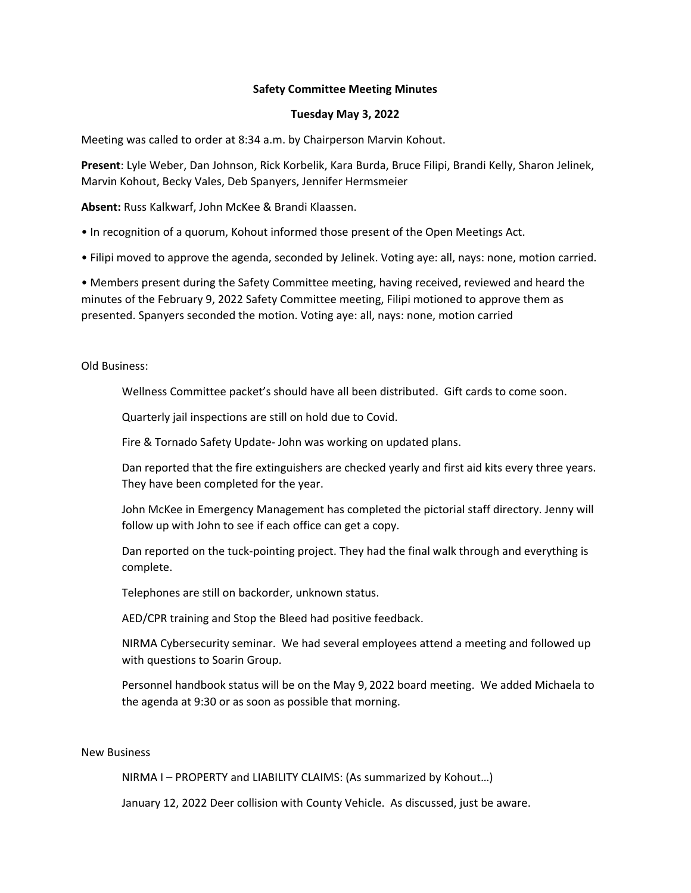# **Safety Committee Meeting Minutes**

### **Tuesday May 3, 2022**

Meeting was called to order at 8:34 a.m. by Chairperson Marvin Kohout.

**Present**: Lyle Weber, Dan Johnson, Rick Korbelik, Kara Burda, Bruce Filipi, Brandi Kelly, Sharon Jelinek, Marvin Kohout, Becky Vales, Deb Spanyers, Jennifer Hermsmeier

**Absent:** Russ Kalkwarf, John McKee & Brandi Klaassen.

• In recognition of a quorum, Kohout informed those present of the Open Meetings Act.

• Filipi moved to approve the agenda, seconded by Jelinek. Voting aye: all, nays: none, motion carried.

• Members present during the Safety Committee meeting, having received, reviewed and heard the minutes of the February 9, 2022 Safety Committee meeting, Filipi motioned to approve them as presented. Spanyers seconded the motion. Voting aye: all, nays: none, motion carried

Old Business:

Wellness Committee packet's should have all been distributed. Gift cards to come soon.

Quarterly jail inspections are still on hold due to Covid.

Fire & Tornado Safety Update‐ John was working on updated plans.

Dan reported that the fire extinguishers are checked yearly and first aid kits every three years. They have been completed for the year.

John McKee in Emergency Management has completed the pictorial staff directory. Jenny will follow up with John to see if each office can get a copy.

Dan reported on the tuck-pointing project. They had the final walk through and everything is complete.

Telephones are still on backorder, unknown status.

AED/CPR training and Stop the Bleed had positive feedback.

NIRMA Cybersecurity seminar. We had several employees attend a meeting and followed up with questions to Soarin Group.

Personnel handbook status will be on the May 9, 2022 board meeting. We added Michaela to the agenda at 9:30 or as soon as possible that morning.

#### New Business

NIRMA I – PROPERTY and LIABILITY CLAIMS: (As summarized by Kohout…)

January 12, 2022 Deer collision with County Vehicle. As discussed, just be aware.